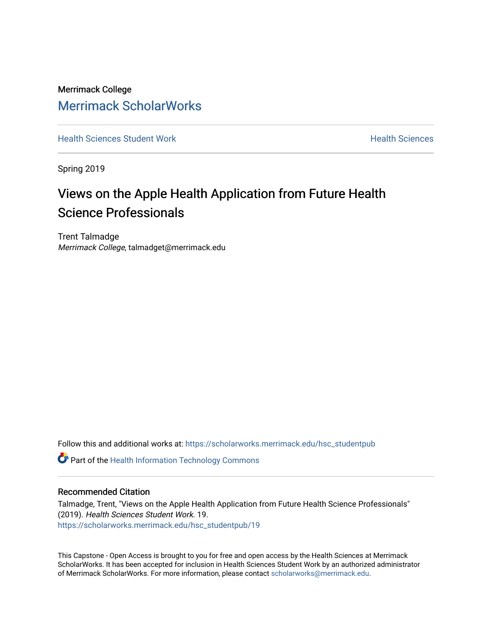Merrimack College [Merrimack ScholarWorks](https://scholarworks.merrimack.edu/) 

**[Health Sciences Student Work](https://scholarworks.merrimack.edu/hsc_studentpub) Health Sciences** Student Work Health Sciences

Spring 2019

# Views on the Apple Health Application from Future Health Science Professionals

Trent Talmadge Merrimack College, talmadget@merrimack.edu

Follow this and additional works at: [https://scholarworks.merrimack.edu/hsc\\_studentpub](https://scholarworks.merrimack.edu/hsc_studentpub?utm_source=scholarworks.merrimack.edu%2Fhsc_studentpub%2F19&utm_medium=PDF&utm_campaign=PDFCoverPages)

**Part of the Health Information Technology Commons** 

### Recommended Citation

Talmadge, Trent, "Views on the Apple Health Application from Future Health Science Professionals" (2019). Health Sciences Student Work. 19. [https://scholarworks.merrimack.edu/hsc\\_studentpub/19](https://scholarworks.merrimack.edu/hsc_studentpub/19?utm_source=scholarworks.merrimack.edu%2Fhsc_studentpub%2F19&utm_medium=PDF&utm_campaign=PDFCoverPages) 

This Capstone - Open Access is brought to you for free and open access by the Health Sciences at Merrimack ScholarWorks. It has been accepted for inclusion in Health Sciences Student Work by an authorized administrator of Merrimack ScholarWorks. For more information, please contact [scholarworks@merrimack.edu.](mailto:scholarworks@merrimack.edu)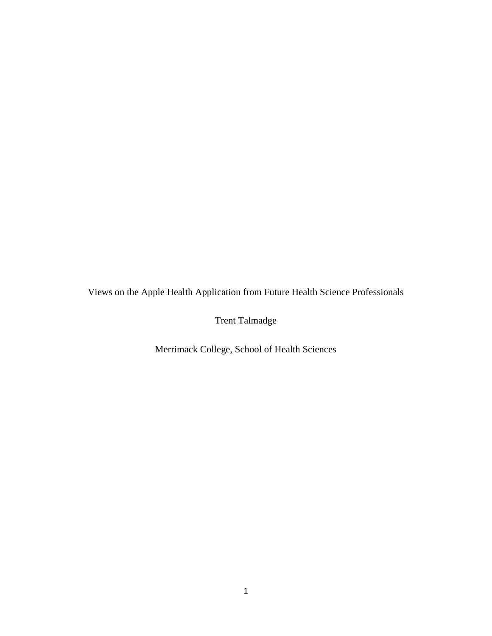Views on the Apple Health Application from Future Health Science Professionals

Trent Talmadge

Merrimack College, School of Health Sciences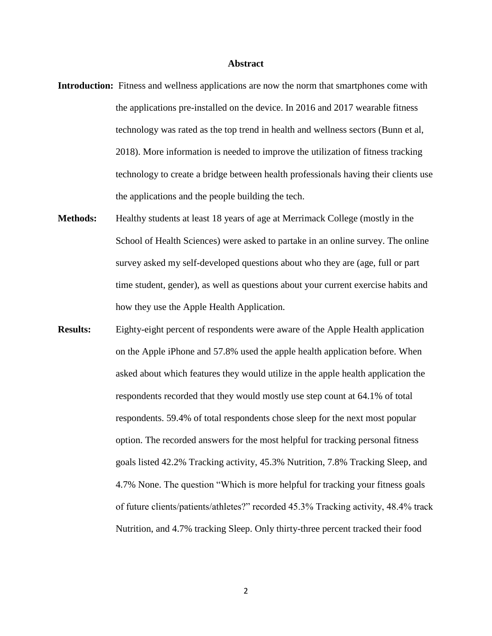#### **Abstract**

- **Introduction:** Fitness and wellness applications are now the norm that smartphones come with the applications pre-installed on the device. In 2016 and 2017 wearable fitness technology was rated as the top trend in health and wellness sectors (Bunn et al, 2018). More information is needed to improve the utilization of fitness tracking technology to create a bridge between health professionals having their clients use the applications and the people building the tech.
- **Methods:** Healthy students at least 18 years of age at Merrimack College (mostly in the School of Health Sciences) were asked to partake in an online survey. The online survey asked my self-developed questions about who they are (age, full or part time student, gender), as well as questions about your current exercise habits and how they use the Apple Health Application.
- **Results:** Eighty-eight percent of respondents were aware of the Apple Health application on the Apple iPhone and 57.8% used the apple health application before. When asked about which features they would utilize in the apple health application the respondents recorded that they would mostly use step count at 64.1% of total respondents. 59.4% of total respondents chose sleep for the next most popular option. The recorded answers for the most helpful for tracking personal fitness goals listed 42.2% Tracking activity, 45.3% Nutrition, 7.8% Tracking Sleep, and 4.7% None. The question "Which is more helpful for tracking your fitness goals of future clients/patients/athletes?" recorded 45.3% Tracking activity, 48.4% track Nutrition, and 4.7% tracking Sleep. Only thirty-three percent tracked their food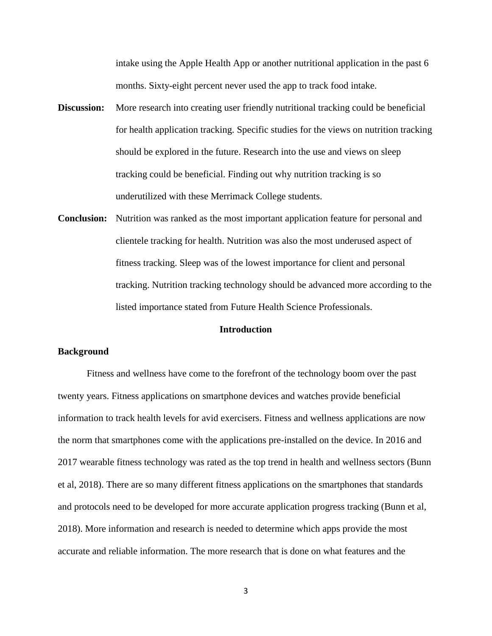intake using the Apple Health App or another nutritional application in the past 6 months. Sixty-eight percent never used the app to track food intake.

- **Discussion:** More research into creating user friendly nutritional tracking could be beneficial for health application tracking. Specific studies for the views on nutrition tracking should be explored in the future. Research into the use and views on sleep tracking could be beneficial. Finding out why nutrition tracking is so underutilized with these Merrimack College students.
- **Conclusion:** Nutrition was ranked as the most important application feature for personal and clientele tracking for health. Nutrition was also the most underused aspect of fitness tracking. Sleep was of the lowest importance for client and personal tracking. Nutrition tracking technology should be advanced more according to the listed importance stated from Future Health Science Professionals.

#### **Introduction**

#### **Background**

Fitness and wellness have come to the forefront of the technology boom over the past twenty years. Fitness applications on smartphone devices and watches provide beneficial information to track health levels for avid exercisers. Fitness and wellness applications are now the norm that smartphones come with the applications pre-installed on the device. In 2016 and 2017 wearable fitness technology was rated as the top trend in health and wellness sectors (Bunn et al, 2018). There are so many different fitness applications on the smartphones that standards and protocols need to be developed for more accurate application progress tracking (Bunn et al, 2018). More information and research is needed to determine which apps provide the most accurate and reliable information. The more research that is done on what features and the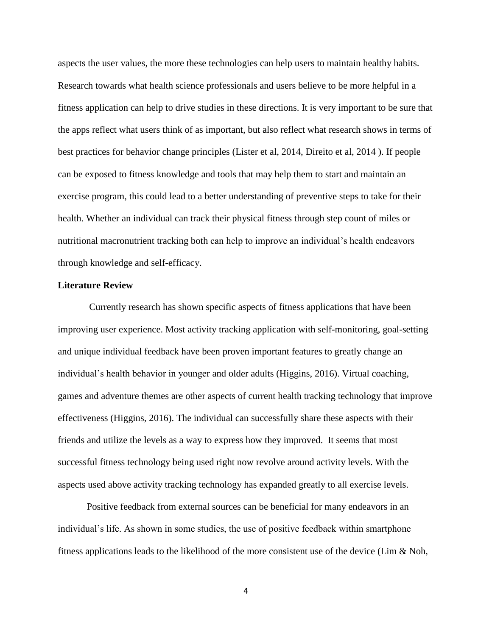aspects the user values, the more these technologies can help users to maintain healthy habits. Research towards what health science professionals and users believe to be more helpful in a fitness application can help to drive studies in these directions. It is very important to be sure that the apps reflect what users think of as important, but also reflect what research shows in terms of best practices for behavior change principles (Lister et al, 2014, Direito et al, 2014 ). If people can be exposed to fitness knowledge and tools that may help them to start and maintain an exercise program, this could lead to a better understanding of preventive steps to take for their health. Whether an individual can track their physical fitness through step count of miles or nutritional macronutrient tracking both can help to improve an individual's health endeavors through knowledge and self-efficacy.

#### **Literature Review**

Currently research has shown specific aspects of fitness applications that have been improving user experience. Most activity tracking application with self-monitoring, goal-setting and unique individual feedback have been proven important features to greatly change an individual's health behavior in younger and older adults (Higgins, 2016). Virtual coaching, games and adventure themes are other aspects of current health tracking technology that improve effectiveness (Higgins, 2016). The individual can successfully share these aspects with their friends and utilize the levels as a way to express how they improved. It seems that most successful fitness technology being used right now revolve around activity levels. With the aspects used above activity tracking technology has expanded greatly to all exercise levels.

Positive feedback from external sources can be beneficial for many endeavors in an individual's life. As shown in some studies, the use of positive feedback within smartphone fitness applications leads to the likelihood of the more consistent use of the device (Lim  $\&$  Noh,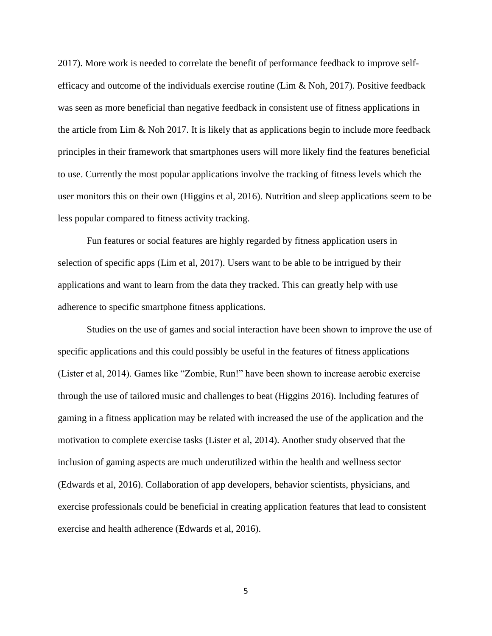2017). More work is needed to correlate the benefit of performance feedback to improve selfefficacy and outcome of the individuals exercise routine (Lim & Noh, 2017). Positive feedback was seen as more beneficial than negative feedback in consistent use of fitness applications in the article from Lim & Noh 2017. It is likely that as applications begin to include more feedback principles in their framework that smartphones users will more likely find the features beneficial to use. Currently the most popular applications involve the tracking of fitness levels which the user monitors this on their own (Higgins et al, 2016). Nutrition and sleep applications seem to be less popular compared to fitness activity tracking.

Fun features or social features are highly regarded by fitness application users in selection of specific apps (Lim et al, 2017). Users want to be able to be intrigued by their applications and want to learn from the data they tracked. This can greatly help with use adherence to specific smartphone fitness applications.

Studies on the use of games and social interaction have been shown to improve the use of specific applications and this could possibly be useful in the features of fitness applications (Lister et al, 2014). Games like "Zombie, Run!" have been shown to increase aerobic exercise through the use of tailored music and challenges to beat (Higgins 2016). Including features of gaming in a fitness application may be related with increased the use of the application and the motivation to complete exercise tasks (Lister et al, 2014). Another study observed that the inclusion of gaming aspects are much underutilized within the health and wellness sector (Edwards et al, 2016). Collaboration of app developers, behavior scientists, physicians, and exercise professionals could be beneficial in creating application features that lead to consistent exercise and health adherence (Edwards et al, 2016).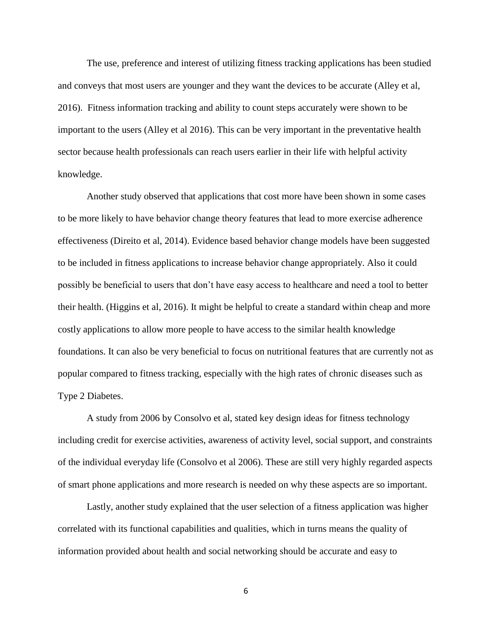The use, preference and interest of utilizing fitness tracking applications has been studied and conveys that most users are younger and they want the devices to be accurate (Alley et al, 2016). Fitness information tracking and ability to count steps accurately were shown to be important to the users (Alley et al 2016). This can be very important in the preventative health sector because health professionals can reach users earlier in their life with helpful activity knowledge.

Another study observed that applications that cost more have been shown in some cases to be more likely to have behavior change theory features that lead to more exercise adherence effectiveness (Direito et al, 2014). Evidence based behavior change models have been suggested to be included in fitness applications to increase behavior change appropriately. Also it could possibly be beneficial to users that don't have easy access to healthcare and need a tool to better their health. (Higgins et al, 2016). It might be helpful to create a standard within cheap and more costly applications to allow more people to have access to the similar health knowledge foundations. It can also be very beneficial to focus on nutritional features that are currently not as popular compared to fitness tracking, especially with the high rates of chronic diseases such as Type 2 Diabetes.

A study from 2006 by Consolvo et al, stated key design ideas for fitness technology including credit for exercise activities, awareness of activity level, social support, and constraints of the individual everyday life (Consolvo et al 2006). These are still very highly regarded aspects of smart phone applications and more research is needed on why these aspects are so important.

Lastly, another study explained that the user selection of a fitness application was higher correlated with its functional capabilities and qualities, which in turns means the quality of information provided about health and social networking should be accurate and easy to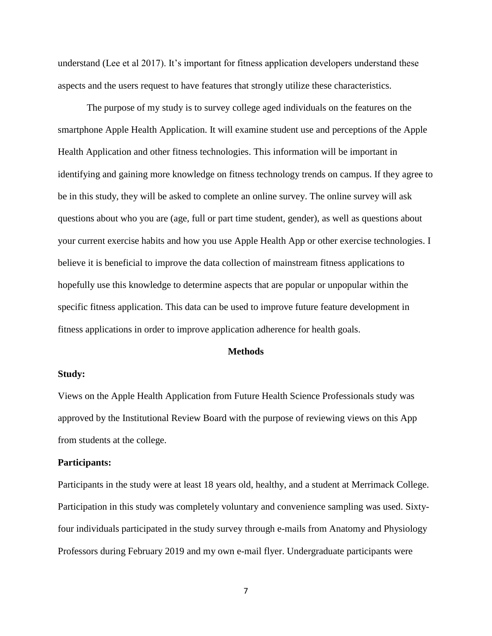understand (Lee et al 2017). It's important for fitness application developers understand these aspects and the users request to have features that strongly utilize these characteristics.

The purpose of my study is to survey college aged individuals on the features on the smartphone Apple Health Application. It will examine student use and perceptions of the Apple Health Application and other fitness technologies. This information will be important in identifying and gaining more knowledge on fitness technology trends on campus. If they agree to be in this study, they will be asked to complete an online survey. The online survey will ask questions about who you are (age, full or part time student, gender), as well as questions about your current exercise habits and how you use Apple Health App or other exercise technologies. I believe it is beneficial to improve the data collection of mainstream fitness applications to hopefully use this knowledge to determine aspects that are popular or unpopular within the specific fitness application. This data can be used to improve future feature development in fitness applications in order to improve application adherence for health goals.

#### **Methods**

### **Study:**

Views on the Apple Health Application from Future Health Science Professionals study was approved by the Institutional Review Board with the purpose of reviewing views on this App from students at the college.

#### **Participants:**

Participants in the study were at least 18 years old, healthy, and a student at Merrimack College. Participation in this study was completely voluntary and convenience sampling was used. Sixtyfour individuals participated in the study survey through e-mails from Anatomy and Physiology Professors during February 2019 and my own e-mail flyer. Undergraduate participants were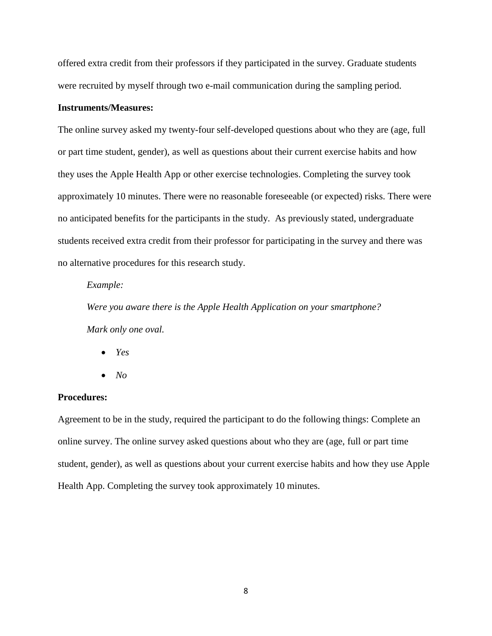offered extra credit from their professors if they participated in the survey. Graduate students were recruited by myself through two e-mail communication during the sampling period.

## **Instruments/Measures:**

The online survey asked my twenty-four self-developed questions about who they are (age, full or part time student, gender), as well as questions about their current exercise habits and how they uses the Apple Health App or other exercise technologies. Completing the survey took approximately 10 minutes. There were no reasonable foreseeable (or expected) risks. There were no anticipated benefits for the participants in the study. As previously stated, undergraduate students received extra credit from their professor for participating in the survey and there was no alternative procedures for this research study.

#### *Example:*

*Were you aware there is the Apple Health Application on your smartphone? Mark only one oval.*

- *Yes*
- $\bullet$  *No*

# **Procedures:**

Agreement to be in the study, required the participant to do the following things: Complete an online survey. The online survey asked questions about who they are (age, full or part time student, gender), as well as questions about your current exercise habits and how they use Apple Health App. Completing the survey took approximately 10 minutes.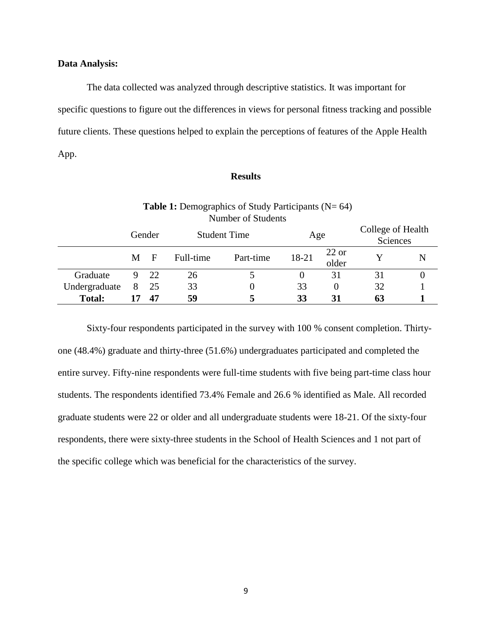#### **Data Analysis:**

The data collected was analyzed through descriptive statistics. It was important for specific questions to figure out the differences in views for personal fitness tracking and possible future clients. These questions helped to explain the perceptions of features of the Apple Health App.

#### **Results**

| Number of Students |        |              |                     |           |       |                  |                               |   |  |  |  |  |
|--------------------|--------|--------------|---------------------|-----------|-------|------------------|-------------------------------|---|--|--|--|--|
|                    | Gender |              | <b>Student Time</b> |           | Age   |                  | College of Health<br>Sciences |   |  |  |  |  |
|                    | M      | $\mathbf{F}$ | Full-time           | Part-time | 18-21 | $22$ or<br>older |                               | N |  |  |  |  |
| Graduate           | 9      | 22           | 26                  |           | 0     | 31               | 31                            |   |  |  |  |  |
| Undergraduate      | 8      | 25           | 33                  | $\theta$  | 33    | $\theta$         | 32                            |   |  |  |  |  |
| <b>Total:</b>      |        | 47           | 59                  | 5         | 33    | 31               | 63                            |   |  |  |  |  |

**Table 1:** Demographics of Study Participants (N= 64)

Sixty-four respondents participated in the survey with 100 % consent completion. Thirtyone (48.4%) graduate and thirty-three (51.6%) undergraduates participated and completed the entire survey. Fifty-nine respondents were full-time students with five being part-time class hour students. The respondents identified 73.4% Female and 26.6 % identified as Male. All recorded graduate students were 22 or older and all undergraduate students were 18-21. Of the sixty-four respondents, there were sixty-three students in the School of Health Sciences and 1 not part of the specific college which was beneficial for the characteristics of the survey.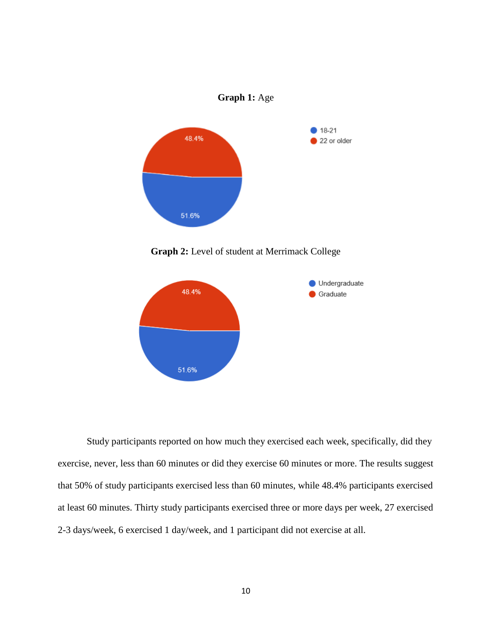

**Graph 2:** Level of student at Merrimack College



Study participants reported on how much they exercised each week, specifically, did they exercise, never, less than 60 minutes or did they exercise 60 minutes or more. The results suggest that 50% of study participants exercised less than 60 minutes, while 48.4% participants exercised at least 60 minutes. Thirty study participants exercised three or more days per week, 27 exercised 2-3 days/week, 6 exercised 1 day/week, and 1 participant did not exercise at all.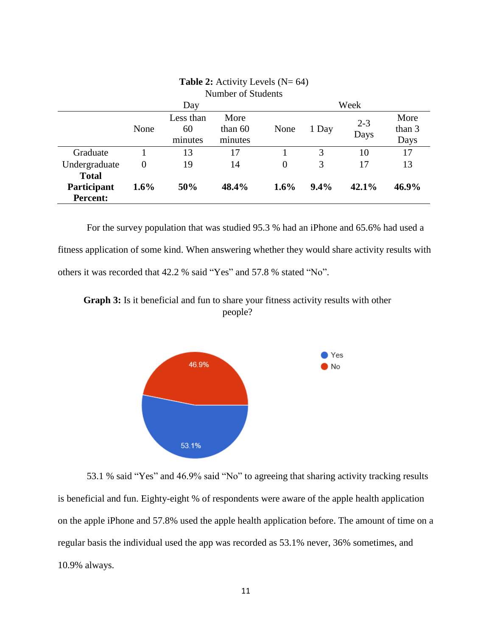| Number of Students                             |          |                            |                              |                |         |                 |                        |  |  |  |
|------------------------------------------------|----------|----------------------------|------------------------------|----------------|---------|-----------------|------------------------|--|--|--|
|                                                |          | Day                        |                              | Week           |         |                 |                        |  |  |  |
|                                                | None     | Less than<br>60<br>minutes | More<br>than $60$<br>minutes | None           | 1 Day   | $2 - 3$<br>Days | More<br>than 3<br>Days |  |  |  |
| Graduate                                       |          | 13                         | 17                           |                | 3       | 10              | 17                     |  |  |  |
| Undergraduate                                  | $\Omega$ | 19                         | 14                           | $\overline{0}$ | 3       | 17              | 13                     |  |  |  |
| <b>Total</b><br>Participant<br><b>Percent:</b> | $1.6\%$  | 50%                        | 48.4%                        | $1.6\%$        | $9.4\%$ | $42.1\%$        | 46.9%                  |  |  |  |

# **Table 2:** Activity Levels (N= 64)

For the survey population that was studied 95.3 % had an iPhone and 65.6% had used a fitness application of some kind. When answering whether they would share activity results with others it was recorded that 42.2 % said "Yes" and 57.8 % stated "No".

**Graph 3:** Is it beneficial and fun to share your fitness activity results with other people?



53.1 % said "Yes" and 46.9% said "No" to agreeing that sharing activity tracking results is beneficial and fun. Eighty-eight % of respondents were aware of the apple health application on the apple iPhone and 57.8% used the apple health application before. The amount of time on a regular basis the individual used the app was recorded as 53.1% never, 36% sometimes, and 10.9% always.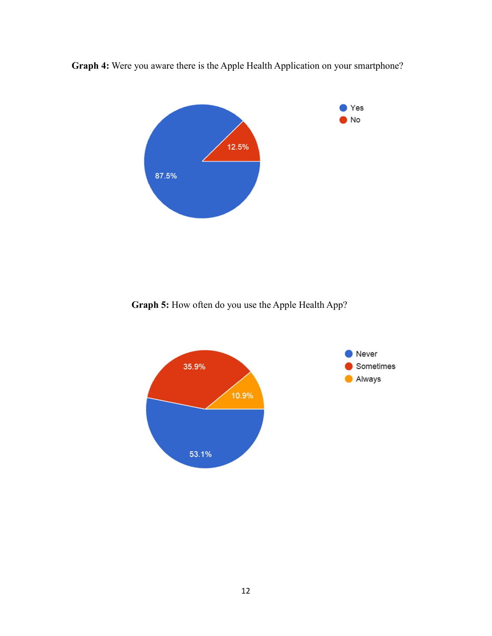

**Graph 4:** Were you aware there is the Apple Health Application on your smartphone?

**Graph 5:** How often do you use the Apple Health App?

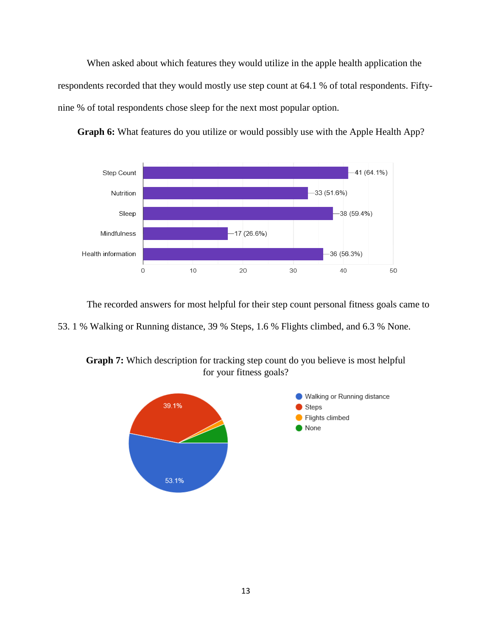When asked about which features they would utilize in the apple health application the respondents recorded that they would mostly use step count at 64.1 % of total respondents. Fiftynine % of total respondents chose sleep for the next most popular option.



Graph 6: What features do you utilize or would possibly use with the Apple Health App?

The recorded answers for most helpful for their step count personal fitness goals came to 53. 1 % Walking or Running distance, 39 % Steps, 1.6 % Flights climbed, and 6.3 % None.

**Graph 7:** Which description for tracking step count do you believe is most helpful for your fitness goals?

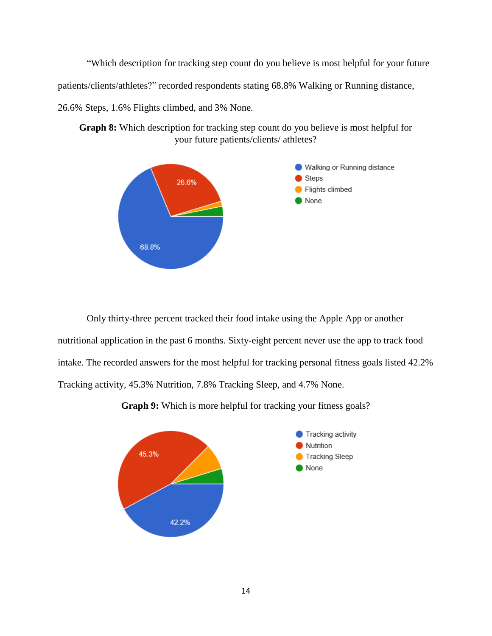"Which description for tracking step count do you believe is most helpful for your future patients/clients/athletes?" recorded respondents stating 68.8% Walking or Running distance, 26.6% Steps, 1.6% Flights climbed, and 3% None.





Only thirty-three percent tracked their food intake using the Apple App or another nutritional application in the past 6 months. Sixty-eight percent never use the app to track food intake. The recorded answers for the most helpful for tracking personal fitness goals listed 42.2% Tracking activity, 45.3% Nutrition, 7.8% Tracking Sleep, and 4.7% None.



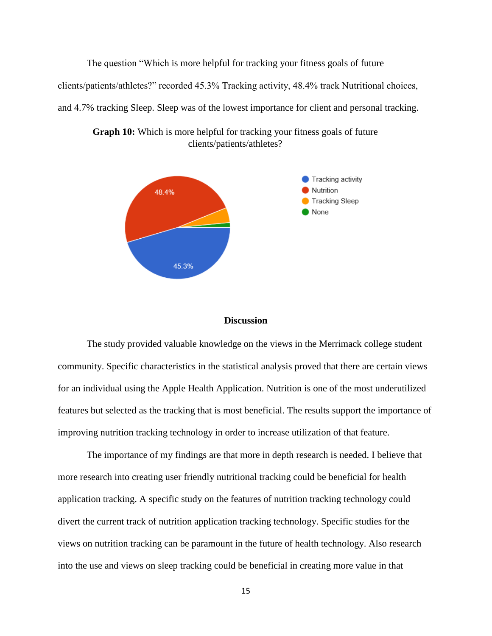The question "Which is more helpful for tracking your fitness goals of future clients/patients/athletes?" recorded 45.3% Tracking activity, 48.4% track Nutritional choices, and 4.7% tracking Sleep. Sleep was of the lowest importance for client and personal tracking.



**Graph 10:** Which is more helpful for tracking your fitness goals of future clients/patients/athletes?

#### **Discussion**

The study provided valuable knowledge on the views in the Merrimack college student community. Specific characteristics in the statistical analysis proved that there are certain views for an individual using the Apple Health Application. Nutrition is one of the most underutilized features but selected as the tracking that is most beneficial. The results support the importance of improving nutrition tracking technology in order to increase utilization of that feature.

The importance of my findings are that more in depth research is needed. I believe that more research into creating user friendly nutritional tracking could be beneficial for health application tracking. A specific study on the features of nutrition tracking technology could divert the current track of nutrition application tracking technology. Specific studies for the views on nutrition tracking can be paramount in the future of health technology. Also research into the use and views on sleep tracking could be beneficial in creating more value in that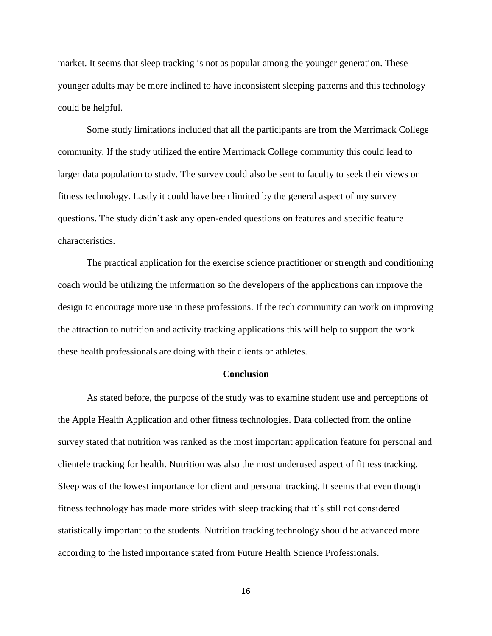market. It seems that sleep tracking is not as popular among the younger generation. These younger adults may be more inclined to have inconsistent sleeping patterns and this technology could be helpful.

Some study limitations included that all the participants are from the Merrimack College community. If the study utilized the entire Merrimack College community this could lead to larger data population to study. The survey could also be sent to faculty to seek their views on fitness technology. Lastly it could have been limited by the general aspect of my survey questions. The study didn't ask any open-ended questions on features and specific feature characteristics.

The practical application for the exercise science practitioner or strength and conditioning coach would be utilizing the information so the developers of the applications can improve the design to encourage more use in these professions. If the tech community can work on improving the attraction to nutrition and activity tracking applications this will help to support the work these health professionals are doing with their clients or athletes.

#### **Conclusion**

As stated before, the purpose of the study was to examine student use and perceptions of the Apple Health Application and other fitness technologies. Data collected from the online survey stated that nutrition was ranked as the most important application feature for personal and clientele tracking for health. Nutrition was also the most underused aspect of fitness tracking. Sleep was of the lowest importance for client and personal tracking. It seems that even though fitness technology has made more strides with sleep tracking that it's still not considered statistically important to the students. Nutrition tracking technology should be advanced more according to the listed importance stated from Future Health Science Professionals.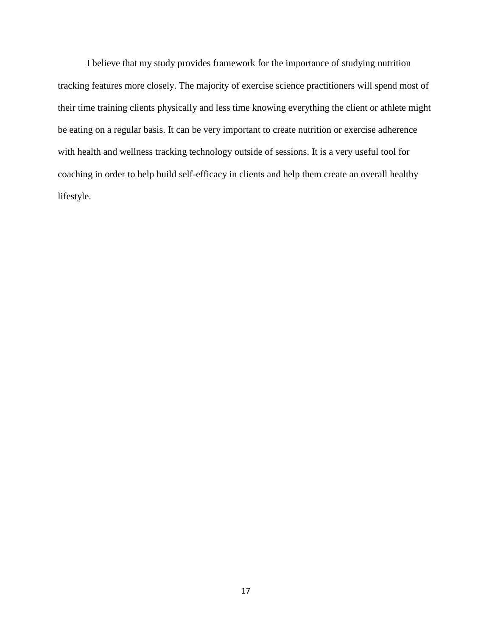I believe that my study provides framework for the importance of studying nutrition tracking features more closely. The majority of exercise science practitioners will spend most of their time training clients physically and less time knowing everything the client or athlete might be eating on a regular basis. It can be very important to create nutrition or exercise adherence with health and wellness tracking technology outside of sessions. It is a very useful tool for coaching in order to help build self-efficacy in clients and help them create an overall healthy lifestyle.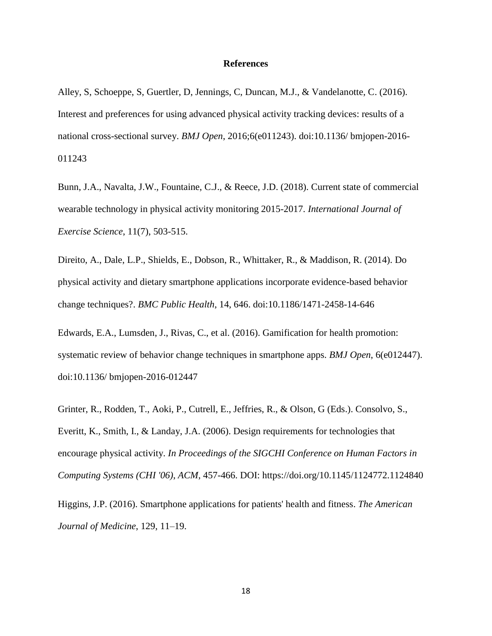#### **References**

Alley, S, Schoeppe, S, Guertler, D, Jennings, C, Duncan, M.J., & Vandelanotte, C. (2016). Interest and preferences for using advanced physical activity tracking devices: results of a national cross-sectional survey. *BMJ Open*, 2016;6(e011243). doi:10.1136/ bmjopen-2016- 011243

Bunn, J.A., Navalta, J.W., Fountaine, C.J., & Reece, J.D. (2018). Current state of commercial wearable technology in physical activity monitoring 2015-2017. *International Journal of Exercise Science*, 11(7), 503-515.

Direito, A., Dale, L.P., Shields, E., Dobson, R., Whittaker, R., & Maddison, R. (2014). Do physical activity and dietary smartphone applications incorporate evidence-based behavior change techniques?. *BMC Public Health*, 14, 646. doi:10.1186/1471-2458-14-646

Edwards, E.A., Lumsden, J., Rivas, C., et al. (2016). Gamification for health promotion: systematic review of behavior change techniques in smartphone apps. *BMJ Open*, 6(e012447). doi:10.1136/ bmjopen-2016-012447

Grinter, R., Rodden, T., Aoki, P., Cutrell, E., Jeffries, R., & Olson, G (Eds.). Consolvo, S., Everitt, K., Smith, I., & Landay, J.A. (2006). Design requirements for technologies that encourage physical activity. *In Proceedings of the SIGCHI Conference on Human Factors in Computing Systems (CHI '06)*, *ACM*, 457-466. DOI: https://doi.org/10.1145/1124772.1124840

Higgins, J.P. (2016). Smartphone applications for patients' health and fitness. *The American Journal of Medicine*, 129, 11–19.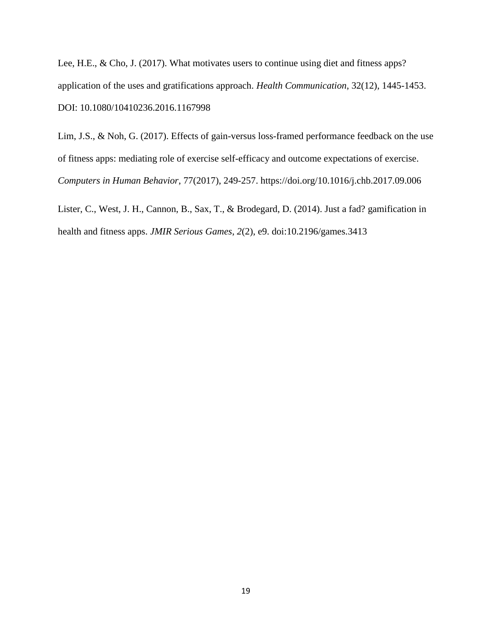Lee, H.E., & Cho, J. (2017). What motivates users to continue using diet and fitness apps? application of the uses and gratifications approach. *Health Communication*, 32(12), 1445-1453. DOI: 10.1080/10410236.2016.1167998

Lim, J.S., & Noh, G. (2017). Effects of gain-versus loss-framed performance feedback on the use of fitness apps: mediating role of exercise self-efficacy and outcome expectations of exercise. *Computers in Human Behavior*, 77(2017), 249-257.<https://doi.org/10.1016/j.chb.2017.09.006>

Lister, C., West, J. H., Cannon, B., Sax, T., & Brodegard, D. (2014). Just a fad? gamification in health and fitness apps. *JMIR Serious Games*, *2*(2), e9. doi:10.2196/games.3413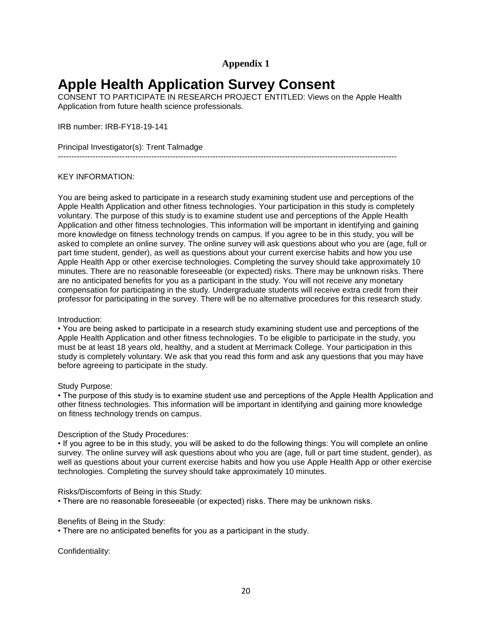# **Appendix 1**

# **Apple Health Application Survey Consent**

CONSENT TO PARTICIPATE IN RESEARCH PROJECT ENTITLED: Views on the Apple Health Application from future health science professionals.

IRB number: IRB-FY18-19-141

#### Principal Investigator(s): Trent Talmadge

-------------------------------------------------------------------------------------------------------------------------------

#### KEY INFORMATION:

You are being asked to participate in a research study examining student use and perceptions of the Apple Health Application and other fitness technologies. Your participation in this study is completely voluntary. The purpose of this study is to examine student use and perceptions of the Apple Health Application and other fitness technologies. This information will be important in identifying and gaining more knowledge on fitness technology trends on campus. If you agree to be in this study, you will be asked to complete an online survey. The online survey will ask questions about who you are (age, full or part time student, gender), as well as questions about your current exercise habits and how you use Apple Health App or other exercise technologies. Completing the survey should take approximately 10 minutes. There are no reasonable foreseeable (or expected) risks. There may be unknown risks. There are no anticipated benefits for you as a participant in the study. You will not receive any monetary compensation for participating in the study. Undergraduate students will receive extra credit from their professor for participating in the survey. There will be no alternative procedures for this research study.

#### Introduction:

• You are being asked to participate in a research study examining student use and perceptions of the Apple Health Application and other fitness technologies. To be eligible to participate in the study, you must be at least 18 years old, healthy, and a student at Merrimack College. Your participation in this study is completely voluntary. We ask that you read this form and ask any questions that you may have before agreeing to participate in the study.

#### Study Purpose:

• The purpose of this study is to examine student use and perceptions of the Apple Health Application and other fitness technologies. This information will be important in identifying and gaining more knowledge on fitness technology trends on campus.

#### Description of the Study Procedures:

• If you agree to be in this study, you will be asked to do the following things: You will complete an online survey. The online survey will ask questions about who you are (age, full or part time student, gender), as well as questions about your current exercise habits and how you use Apple Health App or other exercise technologies. Completing the survey should take approximately 10 minutes.

Risks/Discomforts of Being in this Study:

• There are no reasonable foreseeable (or expected) risks. There may be unknown risks.

#### Benefits of Being in the Study:

• There are no anticipated benefits for you as a participant in the study.

Confidentiality: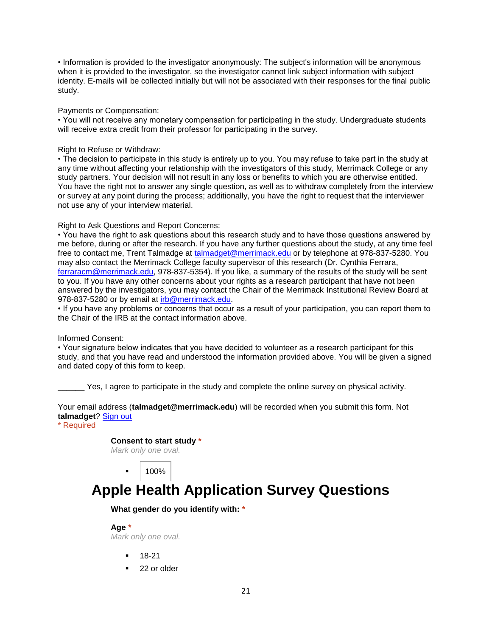• Information is provided to the investigator anonymously: The subject's information will be anonymous when it is provided to the investigator, so the investigator cannot link subject information with subject identity. E-mails will be collected initially but will not be associated with their responses for the final public study.

Payments or Compensation:

• You will not receive any monetary compensation for participating in the study. Undergraduate students will receive extra credit from their professor for participating in the survey.

#### Right to Refuse or Withdraw:

• The decision to participate in this study is entirely up to you. You may refuse to take part in the study at any time without affecting your relationship with the investigators of this study, Merrimack College or any study partners. Your decision will not result in any loss or benefits to which you are otherwise entitled. You have the right not to answer any single question, as well as to withdraw completely from the interview or survey at any point during the process; additionally, you have the right to request that the interviewer not use any of your interview material.

#### Right to Ask Questions and Report Concerns:

• You have the right to ask questions about this research study and to have those questions answered by me before, during or after the research. If you have any further questions about the study, at any time feel free to contact me, Trent Talmadge at [talmadget@merrimack.edu](mailto:talmadget@merrimack.edu) or by telephone at 978-837-5280. You may also contact the Merrimack College faculty supervisor of this research (Dr. Cynthia Ferrara, [ferraracm@merrimack.edu,](mailto:ferraracm@merrimack.edu) 978-837-5354). If you like, a summary of the results of the study will be sent to you. If you have any other concerns about your rights as a research participant that have not been answered by the investigators, you may contact the Chair of the Merrimack Institutional Review Board at 978-837-5280 or by email at [irb@merrimack.edu.](mailto:irb@merrimack.edu)

• If you have any problems or concerns that occur as a result of your participation, you can report them to the Chair of the IRB at the contact information above.

#### Informed Consent:

• Your signature below indicates that you have decided to volunteer as a research participant for this study, and that you have read and understood the information provided above. You will be given a signed and dated copy of this form to keep.

Yes, I agree to participate in the study and complete the online survey on physical activity.

Your email address (**talmadget@merrimack.edu**) will be recorded when you submit this form. Not **talmadget**? [Sign out](https://docs.google.com/logout)

\* Required

# **Consent to start study \***

*Mark only one oval.*

100%

# **Apple Health Application Survey Questions**

### **What gender do you identify with: \***

**Age \***

*Mark only one oval.*

- 18-21
- 22 or older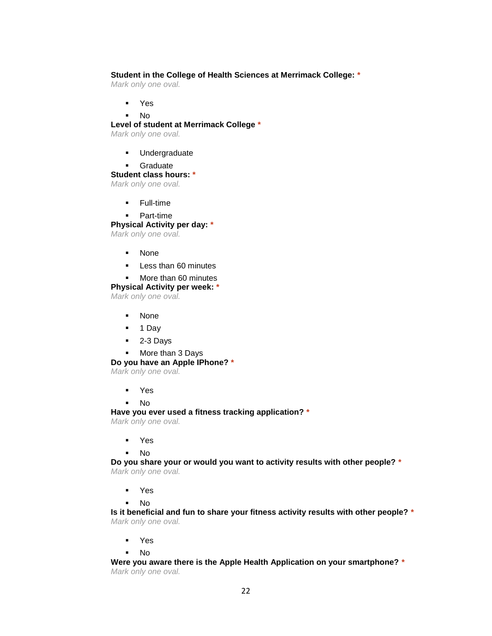#### **Student in the College of Health Sciences at Merrimack College: \***

*Mark only one oval.*

- Yes
- No

#### **Level of student at Merrimack College \***

*Mark only one oval.*

- **Undergraduate**
- **Graduate**

#### **Student class hours: \***

*Mark only one oval.*

- **Full-time**
- Part-time

#### **Physical Activity per day: \***

*Mark only one oval.*

- None
- **Less than 60 minutes**

#### **More than 60 minutes**

#### **Physical Activity per week: \***

*Mark only one oval.*

- None
- $-1$  Day
- 2-3 Days
- More than 3 Days

#### **Do you have an Apple IPhone? \***

*Mark only one oval.*

- Yes
- No

**Have you ever used a fitness tracking application? \***

*Mark only one oval.*

- Yes
- No

**Do you share your or would you want to activity results with other people? \*** *Mark only one oval.*

- Yes
- No

**Is it beneficial and fun to share your fitness activity results with other people? \*** *Mark only one oval.*

- Yes
- No

**Were you aware there is the Apple Health Application on your smartphone? \*** *Mark only one oval.*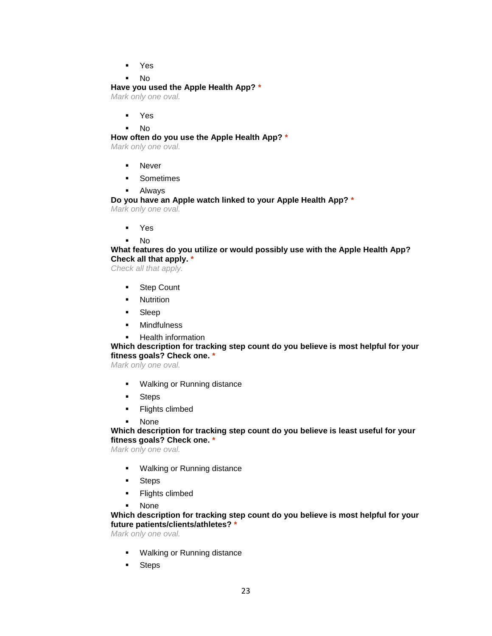Yes

#### No

#### **Have you used the Apple Health App? \***

*Mark only one oval.*

- Yes
- No

#### **How often do you use the Apple Health App? \***

*Mark only one oval.*

- **Never**
- **Sometimes**
- Always

# **Do you have an Apple watch linked to your Apple Health App? \***

*Mark only one oval.*

- Yes
- $N<sub>0</sub>$

## **What features do you utilize or would possibly use with the Apple Health App? Check all that apply. \***

*Check all that apply.*

- **Step Count**
- **Nutrition**
- Sleep
- **•** Mindfulness
- **-** Health information

### **Which description for tracking step count do you believe is most helpful for your fitness goals? Check one. \***

*Mark only one oval.*

- **Walking or Running distance**
- **Steps**
- **Flights climbed**
- None

#### **Which description for tracking step count do you believe is least useful for your fitness goals? Check one. \***

*Mark only one oval.*

- **Walking or Running distance**
- **Steps**
- **Flights climbed**
- None

#### **Which description for tracking step count do you believe is most helpful for your future patients/clients/athletes? \***

*Mark only one oval.*

- **Walking or Running distance**
- **Steps**